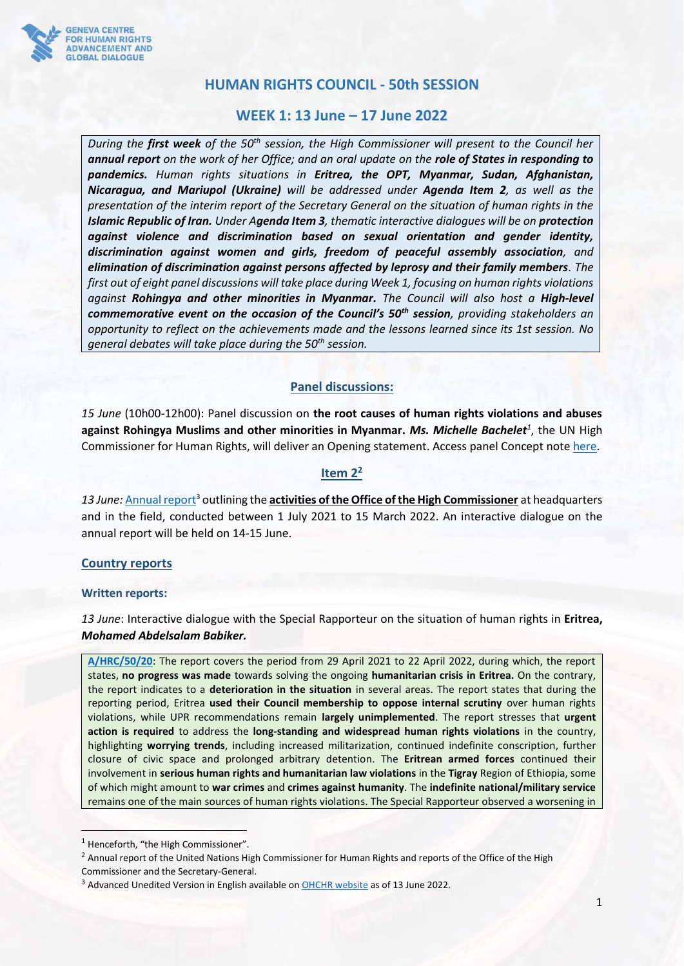

# **HUMAN RIGHTS COUNCIL - 50th SESSION**

## **WEEK 1: 13 June – 17 June 2022**

*During the first week of the 50th session, the High Commissioner will present to the Council her annual report on the work of her Office; and an oral update on the role of States in responding to pandemics. Human rights situations in Eritrea, the OPT, Myanmar, Sudan, Afghanistan, Nicaragua, and Mariupol (Ukraine) will be addressed under Agenda Item 2, as well as the presentation of the interim report of the Secretary General on the situation of human rights in the Islamic Republic of Iran. Under Agenda Item 3, thematic interactive dialogues will be on protection against violence and discrimination based on sexual orientation and gender identity, discrimination against women and girls, freedom of peaceful assembly association, and elimination of discrimination against persons affected by leprosy and their family members. The first out of eight panel discussions will take place during Week 1, focusing on human rights violations against Rohingya and other minorities in Myanmar. The Council will also host a High-level commemorative event on the occasion of the Council's 50th session, providing stakeholders an opportunity to reflect on the achievements made and the lessons learned since its 1st session. No general debates will take place during the 50th session.*

### **Panel discussions:**

*15 June* (10h00-12h00): Panel discussion on **the root causes of human rights violations and abuses against Rohingya Muslims and other minorities in Myanmar.** *Ms. Michelle Bachelet<sup>1</sup>* , the UN High Commissioner for Human Rights, will deliver an Opening statement. Access panel Concept note [here.](https://hrcmeetings.ohchr.org/HRCSessions/RegularSessions/50/DL_HRC_Panels/1.%20CN_Myanmar%20minorities%20panel_02.06.2022.docx)

### **Item 2<sup>2</sup>**

13 June: Annual report<sup>3</sup> outlining the **activities of the Office of the High Commissioner** at headquarters and in the field, conducted between 1 July 2021 to 15 March 2022. An interactive dialogue on the annual report will be held on 14-15 June.

### **Country reports**

#### **Written reports:**

*13 June*: Interactive dialogue with the Special Rapporteur on the situation of human rights in **Eritrea,**  *Mohamed Abdelsalam Babiker.*

**[A/HRC/50/20](https://undocs.org/en/A/HRC/50/20)**: The report covers the period from 29 April 2021 to 22 April 2022, during which, the report states, **no progress was made** towards solving the ongoing **humanitarian crisis in Eritrea.** On the contrary, the report indicates to a **deterioration in the situation** in several areas. The report states that during the reporting period, Eritrea **used their Council membership to oppose internal scrutiny** over human rights violations, while UPR recommendations remain **largely unimplemented**. The report stresses that **urgent action is required** to address the **long-standing and widespread human rights violations** in the country, highlighting **worrying trends**, including increased militarization, continued indefinite conscription, further closure of civic space and prolonged arbitrary detention. The **Eritrean armed forces** continued their involvement in **serious human rights and humanitarian law violations** in the **Tigray** Region of Ethiopia, some of which might amount to **war crimes** and **crimes against humanity**. The **indefinite national/military service** remains one of the main sources of human rights violations. The Special Rapporteur observed a worsening in

<sup>&</sup>lt;sup>1</sup> Henceforth, "the High Commissioner".

<sup>&</sup>lt;sup>2</sup> Annual report of the United Nations High Commissioner for Human Rights and reports of the Office of the High Commissioner and the Secretary-General.

<sup>&</sup>lt;sup>3</sup> Advanced Unedited Version in English available on **OHCHR website** as of 13 June 2022.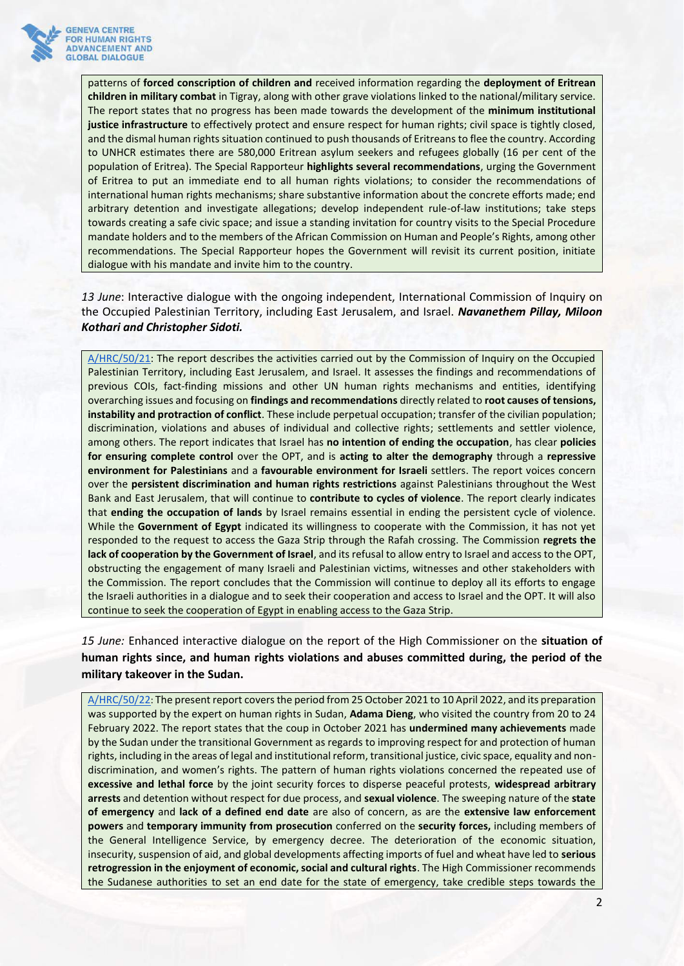

patterns of **forced conscription of children and** received information regarding the **deployment of Eritrean children in military combat** in Tigray, along with other grave violations linked to the national/military service. The report states that no progress has been made towards the development of the **minimum institutional justice infrastructure** to effectively protect and ensure respect for human rights; civil space is tightly closed, and the dismal human rights situation continued to push thousands of Eritreans to flee the country. According to UNHCR estimates there are 580,000 Eritrean asylum seekers and refugees globally (16 per cent of the population of Eritrea). The Special Rapporteur **highlights several recommendations**, urging the Government of Eritrea to put an immediate end to all human rights violations; to consider the recommendations of international human rights mechanisms; share substantive information about the concrete efforts made; end arbitrary detention and investigate allegations; develop independent rule-of-law institutions; take steps towards creating a safe civic space; and issue a standing invitation for country visits to the Special Procedure mandate holders and to the members of the African Commission on Human and People's Rights, among other recommendations. The Special Rapporteur hopes the Government will revisit its current position, initiate dialogue with his mandate and invite him to the country.

*13 June*: Interactive dialogue with the ongoing independent, International Commission of Inquiry on the Occupied Palestinian Territory, including East Jerusalem, and Israel. *Navanethem Pillay, Miloon Kothari and Christopher Sidoti.*

[A/HRC/50/21:](https://documents-dds-ny.un.org/doc/UNDOC/GEN/G22/337/18/PDF/G2233718.pdf?OpenElement) The report describes the activities carried out by the Commission of Inquiry on the Occupied Palestinian Territory, including East Jerusalem, and Israel. It assesses the findings and recommendations of previous COIs, fact-finding missions and other UN human rights mechanisms and entities, identifying overarching issues and focusing on **findings and recommendations** directly related to **root causes of tensions, instability and protraction of conflict**. These include perpetual occupation; transfer of the civilian population; discrimination, violations and abuses of individual and collective rights; settlements and settler violence, among others. The report indicates that Israel has **no intention of ending the occupation**, has clear **policies for ensuring complete control** over the OPT, and is **acting to alter the demography** through a **repressive environment for Palestinians** and a **favourable environment for Israeli** settlers. The report voices concern over the **persistent discrimination and human rights restrictions** against Palestinians throughout the West Bank and East Jerusalem, that will continue to **contribute to cycles of violence**. The report clearly indicates that **ending the occupation of lands** by Israel remains essential in ending the persistent cycle of violence. While the **Government of Egypt** indicated its willingness to cooperate with the Commission, it has not yet responded to the request to access the Gaza Strip through the Rafah crossing. The Commission **regrets the lack of cooperation by the Government of Israel**, and its refusal to allow entry to Israel and access to the OPT, obstructing the engagement of many Israeli and Palestinian victims, witnesses and other stakeholders with the Commission. The report concludes that the Commission will continue to deploy all its efforts to engage the Israeli authorities in a dialogue and to seek their cooperation and access to Israel and the OPT. It will also continue to seek the cooperation of Egypt in enabling access to the Gaza Strip.

*15 June:* Enhanced interactive dialogue on the report of the High Commissioner on the **situation of human rights since, and human rights violations and abuses committed during, the period of the military takeover in the Sudan.**

[A/HRC/50/22](https://documents-dds-ny.un.org/doc/UNDOC/GEN/G22/337/24/PDF/G2233724.pdf?OpenElement): The present report covers the period from 25 October 2021 to 10 April 2022, and its preparation was supported by the expert on human rights in Sudan, **Adama Dieng**, who visited the country from 20 to 24 February 2022. The report states that the coup in October 2021 has **undermined many achievements** made by the Sudan under the transitional Government as regards to improving respect for and protection of human rights, including in the areas of legal and institutional reform, transitional justice, civic space, equality and nondiscrimination, and women's rights. The pattern of human rights violations concerned the repeated use of **excessive and lethal force** by the joint security forces to disperse peaceful protests, **widespread arbitrary arrests** and detention without respect for due process, and **sexual violence**. The sweeping nature of the **state of emergency** and **lack of a defined end date** are also of concern, as are the **extensive law enforcement powers** and **temporary immunity from prosecution** conferred on the **security forces,** including members of the General Intelligence Service, by emergency decree. The deterioration of the economic situation, insecurity, suspension of aid, and global developments affecting imports of fuel and wheat have led to **serious retrogression in the enjoyment of economic, social and cultural rights**. The High Commissioner recommends the Sudanese authorities to set an end date for the state of emergency, take credible steps towards the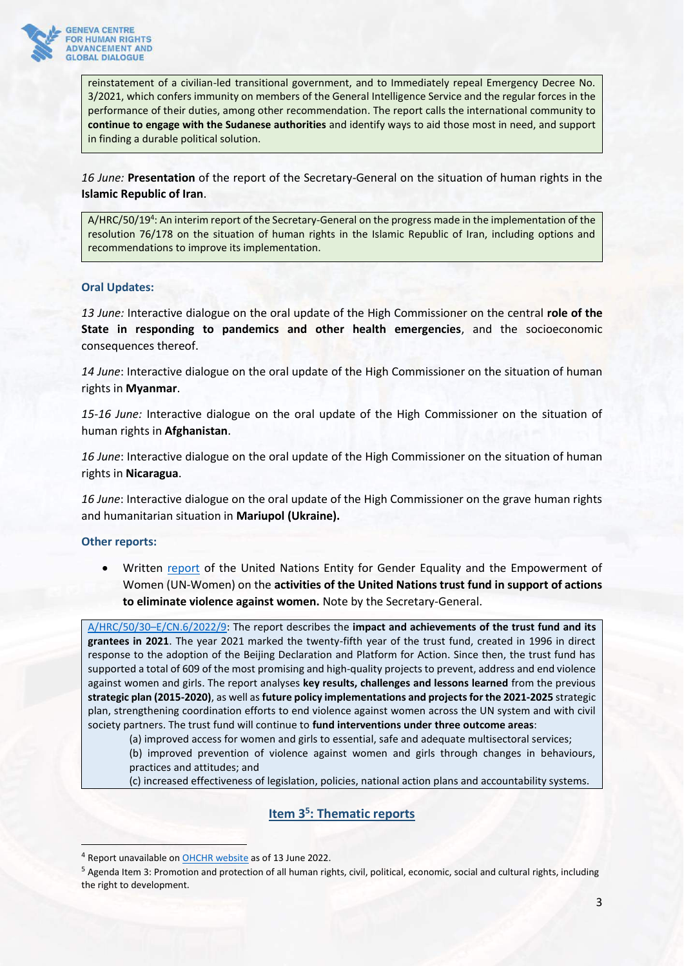

reinstatement of a civilian-led transitional government, and to Immediately repeal Emergency Decree No. 3/2021, which confers immunity on members of the General Intelligence Service and the regular forces in the performance of their duties, among other recommendation. The report calls the international community to **continue to engage with the Sudanese authorities** and identify ways to aid those most in need, and support in finding a durable political solution.

*16 June:* **Presentation** of the report of the Secretary-General on the situation of human rights in the **Islamic Republic of Iran**.

A/HRC/50/19<sup>4</sup>: An interim report of the Secretary-General on the progress made in the implementation of the resolution 76/178 on the situation of human rights in the Islamic Republic of Iran, including options and recommendations to improve its implementation.

### **Oral Updates:**

*13 June:* Interactive dialogue on the oral update of the High Commissioner on the central **role of the State in responding to pandemics and other health emergencies**, and the socioeconomic consequences thereof.

*14 June*: Interactive dialogue on the oral update of the High Commissioner on the situation of human rights in **Myanmar**.

*15-16 June:* Interactive dialogue on the oral update of the High Commissioner on the situation of human rights in **Afghanistan**.

*16 June*: Interactive dialogue on the oral update of the High Commissioner on the situation of human rights in **Nicaragua**.

*16 June*: Interactive dialogue on the oral update of the High Commissioner on the grave human rights and humanitarian situation in **Mariupol (Ukraine).**

**Other reports:**

• Written [report](https://undocs.org/en/A/HRC/50/30) of the United Nations Entity for Gender Equality and the Empowerment of Women (UN-Women) on the **activities of the United Nations trust fund in support of actions to eliminate violence against women.** Note by the Secretary-General.

A/HRC/50/30–[E/CN.6/2022/9:](https://undocs.org/Home/Mobile?FinalSymbol=A%2FHRC%2F50%2F30&Language=E&DeviceType=Desktop&LangRequested=False) The report describes the **impact and achievements of the trust fund and its grantees in 2021**. The year 2021 marked the twenty-fifth year of the trust fund, created in 1996 in direct response to the adoption of the Beijing Declaration and Platform for Action. Since then, the trust fund has supported a total of 609 of the most promising and high-quality projects to prevent, address and end violence against women and girls. The report analyses **key results, challenges and lessons learned** from the previous **strategic plan (2015-2020)**, as well as **future policy implementations and projects for the 2021-2025** strategic plan, strengthening coordination efforts to end violence against women across the UN system and with civil society partners. The trust fund will continue to **fund interventions under three outcome areas**:

(a) improved access for women and girls to essential, safe and adequate multisectoral services;

(b) improved prevention of violence against women and girls through changes in behaviours, practices and attitudes; and

(c) increased effectiveness of legislation, policies, national action plans and accountability systems.

### **Item 3<sup>5</sup> : Thematic reports**

<sup>4</sup> Report unavailable on [OHCHR website](https://www.ohchr.org/en/hr-bodies/hrc/regular-sessions/session50/list-reports) as of 13 June 2022.

<sup>5</sup> Agenda Item 3: Promotion and protection of all human rights, civil, political, economic, social and cultural rights, including the right to development.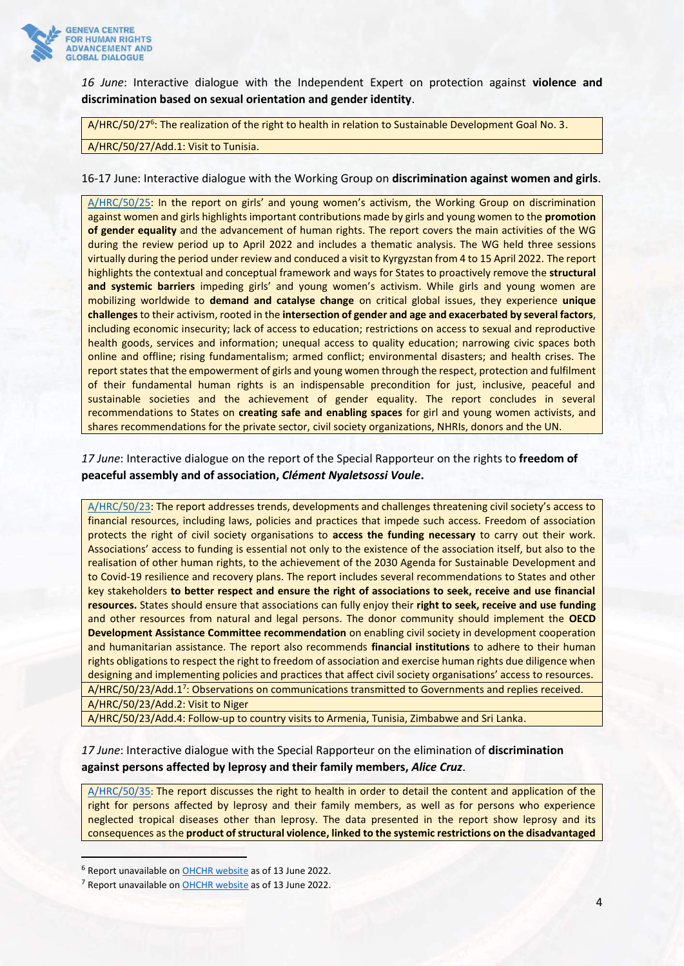

*16 June*: Interactive dialogue with the Independent Expert on protection against **violence and discrimination based on sexual orientation and gender identity**.

A/HRC/50/27<sup>6</sup>: The realization of the right to health in relation to Sustainable Development Goal No. 3.

A/HRC/50/27/Add.1: Visit to Tunisia.

#### 16-17 June: Interactive dialogue with the Working Group on **discrimination against women and girls**.

[A/HRC/50/25:](https://undocs.org/en/A/HRC/50/25) In the report on girls' and young women's activism, the Working Group on discrimination against women and girls highlights important contributions made by girls and young women to the **promotion of gender equality** and the advancement of human rights. The report covers the main activities of the WG during the review period up to April 2022 and includes a thematic analysis. The WG held three sessions virtually during the period under review and conduced a visit to Kyrgyzstan from 4 to 15 April 2022. The report highlights the contextual and conceptual framework and ways for States to proactively remove the **structural and systemic barriers** impeding girls' and young women's activism. While girls and young women are mobilizing worldwide to **demand and catalyse change** on critical global issues, they experience **unique challenges**to their activism, rooted in the **intersection of gender and age and exacerbated by several factors**, including economic insecurity; lack of access to education; restrictions on access to sexual and reproductive health goods, services and information; unequal access to quality education; narrowing civic spaces both online and offline; rising fundamentalism; armed conflict; environmental disasters; and health crises. The report states that the empowerment of girls and young women through the respect, protection and fulfilment of their fundamental human rights is an indispensable precondition for just, inclusive, peaceful and sustainable societies and the achievement of gender equality. The report concludes in several recommendations to States on **creating safe and enabling spaces** for girl and young women activists, and shares recommendations for the private sector, civil society organizations, NHRIs, donors and the UN.

*17 June*: Interactive dialogue on the report of the Special Rapporteur on the rights to **freedom of peaceful assembly and of association,** *Clément Nyaletsossi Voule***.**

[A/HRC/50/23:](https://undocs.org/en/A/HRC/50/23) The report addresses trends, developments and challenges threatening civil society's access to financial resources, including laws, policies and practices that impede such access. Freedom of association protects the right of civil society organisations to **access the funding necessary** to carry out their work. Associations' access to funding is essential not only to the existence of the association itself, but also to the realisation of other human rights, to the achievement of the 2030 Agenda for Sustainable Development and to Covid-19 resilience and recovery plans. The report includes several recommendations to States and other key stakeholders **to better respect and ensure the right of associations to seek, receive and use financial resources.** States should ensure that associations can fully enjoy their **right to seek, receive and use funding** and other resources from natural and legal persons. The donor community should implement the **OECD Development Assistance Committee recommendation** on enabling civil society in development cooperation and humanitarian assistance. The report also recommends **financial institutions** to adhere to their human rights obligations to respect the right to freedom of association and exercise human rights due diligence when designing and implementing policies and practices that affect civil society organisations' access to resources. A/HRC/50/23/Add.1<sup>7</sup>: Observations on communications transmitted to Governments and replies received. A/HRC/50/23/Add.2: Visit to Niger

A/HRC/50/23/Add.4: Follow-up to country visits to Armenia, Tunisia, Zimbabwe and Sri Lanka.

*17 June*: Interactive dialogue with the Special Rapporteur on the elimination of **discrimination against persons affected by leprosy and their family members,** *Alice Cruz*.

[A/HRC/50/35](https://documents-dds-ny.un.org/doc/UNDOC/GEN/G22/308/57/PDF/G2230857.pdf?OpenElement): The report discusses the right to health in order to detail the content and application of the right for persons affected by leprosy and their family members, as well as for persons who experience neglected tropical diseases other than leprosy. The data presented in the report show leprosy and its consequences as the **product of structural violence, linked to the systemic restrictions on the disadvantaged** 

<sup>&</sup>lt;sup>6</sup> Report unavailable on **OHCHR** website as of 13 June 2022.

<sup>&</sup>lt;sup>7</sup> Report unavailable on **OHCHR** website as of 13 June 2022.